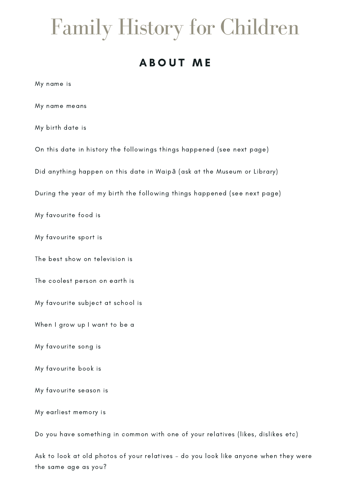# Family History for Children

# A BOUT ME

My name is

My name means

My birth date is

On this date in history the followings things happened (see next page)

Did anything happen on this date in Waipā (ask at the Museum or Library)

During the year of my birth the following things happened (see next page)

My favourite food is

My favourite sport is

The best show on television is

The coolest person on earth is

My favourite subject at school is

When I grow up I want to be a

My favourite song is

My favourite book is

My favourite season is

My earliest memory is

Do you have something in common with one of your relatives (likes, dislikes etc)

Ask to look at old photos of your relatives – do you look like anyone when they were the same age as you?